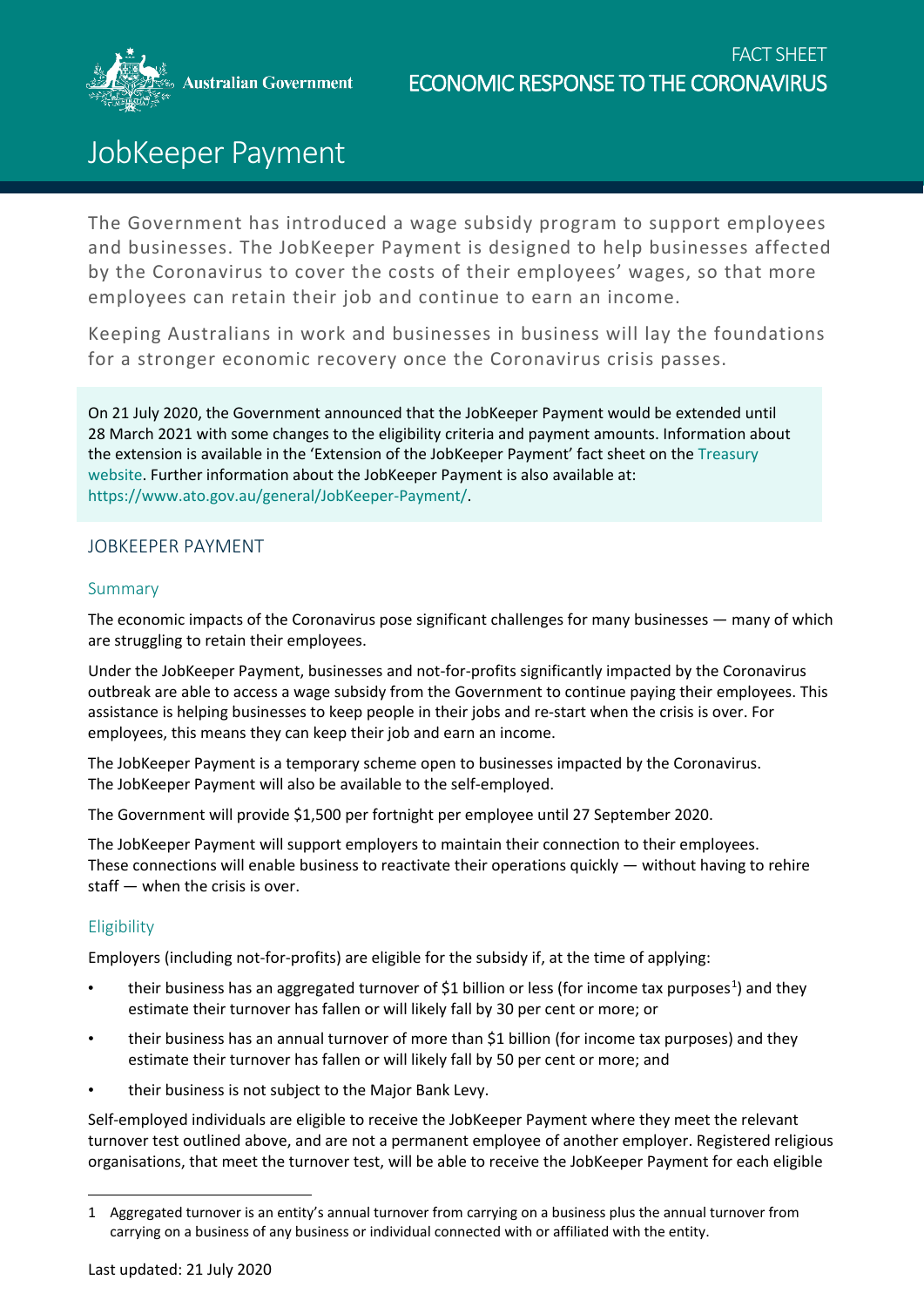**Australian Government** 



# JobKeeper Payment

The Government has introduced a wage subsidy program to support employees and businesses. The JobKeeper Payment is designed to help businesses affected by the Coronavirus to cover the costs of their employees' wages, so that more employees can retain their job and continue to earn an income.

Keeping Australians in work and businesses in business will lay the foundations for a stronger economic recovery once the Coronavirus crisis passes.

On 21 July 2020, the Government announced that the JobKeeper Payment would be extended until 28 March 2021 with some changes to the eligibility criteria and payment amounts. Information about the extension is available in the 'Extension of the JobKeeper Payment' fact sheet on the [Treasury](https://treasury.gov.au/coronavirus/jobkeeper/extension)  [website.](https://treasury.gov.au/coronavirus/jobkeeper/extension) Further information about the JobKeeper Payment is also available at: [https://www.ato.gov.au/general/JobKeeper-Payment/.](https://www.ato.gov.au/general/JobKeeper-Payment/)

## JOBKEEPER PAYMENT

## Summary

The economic impacts of the Coronavirus pose significant challenges for many businesses — many of which are struggling to retain their employees.

Under the JobKeeper Payment, businesses and not-for-profits significantly impacted by the Coronavirus outbreak are able to access a wage subsidy from the Government to continue paying their employees. This assistance is helping businesses to keep people in their jobs and re-start when the crisis is over. For employees, this means they can keep their job and earn an income.

The JobKeeper Payment is a temporary scheme open to businesses impacted by the Coronavirus. The JobKeeper Payment will also be available to the self-employed.

The Government will provide \$1,500 per fortnight per employee until 27 September 2020.

The JobKeeper Payment will support employers to maintain their connection to their employees. These connections will enable business to reactivate their operations quickly  $-$  without having to rehire staff — when the crisis is over.

## **Eligibility**

 $\overline{\phantom{a}}$ 

Employers (including not-for-profits) are eligible for the subsidy if, at the time of applying:

- their business has an aggregated turnover of \$[1](#page-0-0) billion or less (for income tax purposes<sup>1</sup>) and they estimate their turnover has fallen or will likely fall by 30 per cent or more; or
- their business has an annual turnover of more than \$1 billion (for income tax purposes) and they estimate their turnover has fallen or will likely fall by 50 per cent or more; and
- their business is not subject to the Major Bank Levy.

Self-employed individuals are eligible to receive the JobKeeper Payment where they meet the relevant turnover test outlined above, and are not a permanent employee of another employer. Registered religious organisations, that meet the turnover test, will be able to receive the JobKeeper Payment for each eligible

<span id="page-0-0"></span><sup>1</sup> Aggregated turnover is an entity's annual turnover from carrying on a business plus the annual turnover from carrying on a business of any business or individual connected with or affiliated with the entity.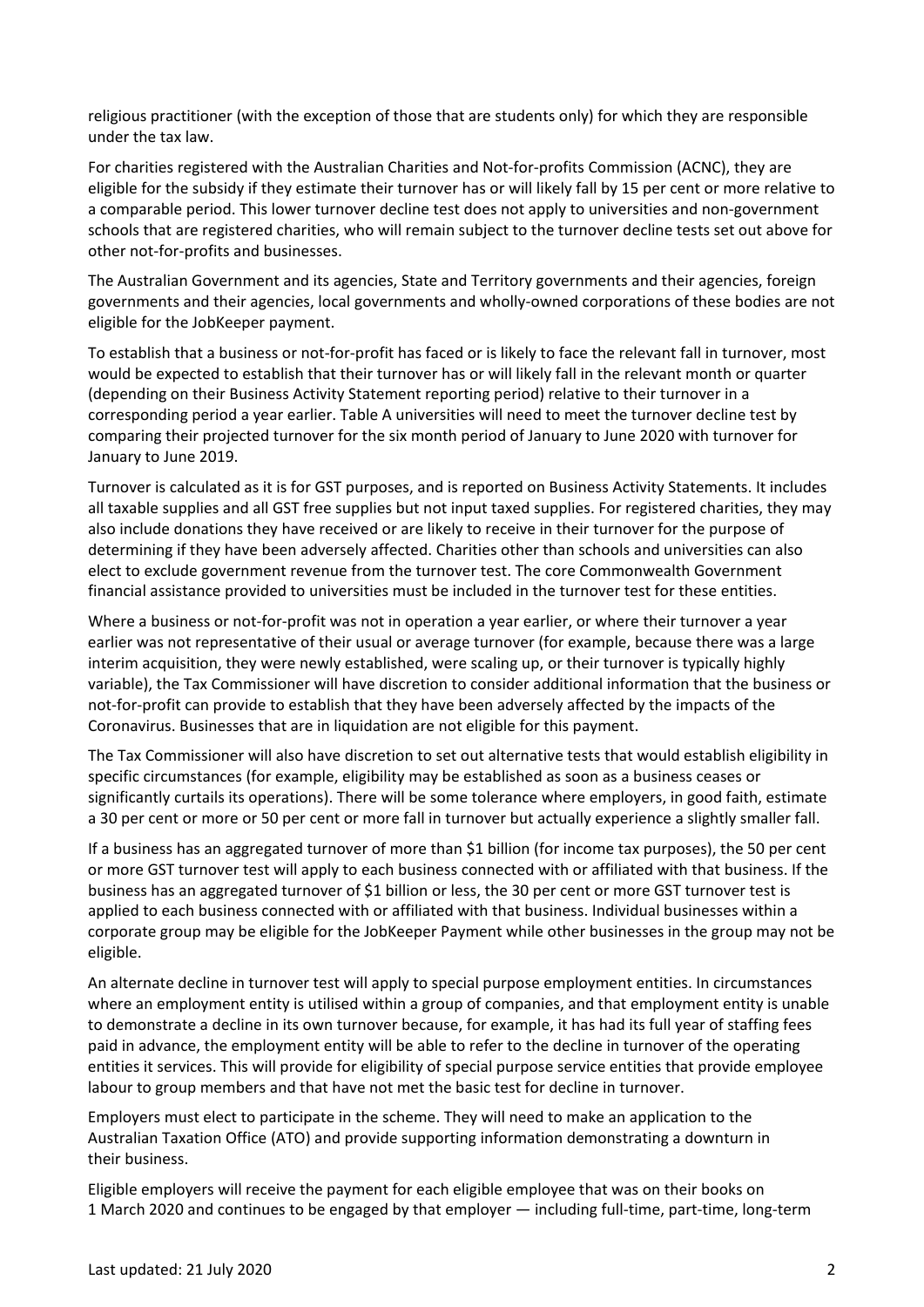religious practitioner (with the exception of those that are students only) for which they are responsible under the tax law.

For charities registered with the Australian Charities and Not-for-profits Commission (ACNC), they are eligible for the subsidy if they estimate their turnover has or will likely fall by 15 per cent or more relative to a comparable period. This lower turnover decline test does not apply to universities and non-government schools that are registered charities, who will remain subject to the turnover decline tests set out above for other not-for-profits and businesses.

The Australian Government and its agencies, State and Territory governments and their agencies, foreign governments and their agencies, local governments and wholly-owned corporations of these bodies are not eligible for the JobKeeper payment.

To establish that a business or not-for-profit has faced or is likely to face the relevant fall in turnover, most would be expected to establish that their turnover has or will likely fall in the relevant month or quarter (depending on their Business Activity Statement reporting period) relative to their turnover in a corresponding period a year earlier. Table A universities will need to meet the turnover decline test by comparing their projected turnover for the six month period of January to June 2020 with turnover for January to June 2019.

Turnover is calculated as it is for GST purposes, and is reported on Business Activity Statements. It includes all taxable supplies and all GST free supplies but not input taxed supplies. For registered charities, they may also include donations they have received or are likely to receive in their turnover for the purpose of determining if they have been adversely affected. Charities other than schools and universities can also elect to exclude government revenue from the turnover test. The core Commonwealth Government financial assistance provided to universities must be included in the turnover test for these entities.

Where a business or not-for-profit was not in operation a year earlier, or where their turnover a year earlier was not representative of their usual or average turnover (for example, because there was a large interim acquisition, they were newly established, were scaling up, or their turnover is typically highly variable), the Tax Commissioner will have discretion to consider additional information that the business or not-for-profit can provide to establish that they have been adversely affected by the impacts of the Coronavirus. Businesses that are in liquidation are not eligible for this payment.

The Tax Commissioner will also have discretion to set out alternative tests that would establish eligibility in specific circumstances (for example, eligibility may be established as soon as a business ceases or significantly curtails its operations). There will be some tolerance where employers, in good faith, estimate a 30 per cent or more or 50 per cent or more fall in turnover but actually experience a slightly smaller fall.

If a business has an aggregated turnover of more than \$1 billion (for income tax purposes), the 50 per cent or more GST turnover test will apply to each business connected with or affiliated with that business. If the business has an aggregated turnover of \$1 billion or less, the 30 per cent or more GST turnover test is applied to each business connected with or affiliated with that business. Individual businesses within a corporate group may be eligible for the JobKeeper Payment while other businesses in the group may not be eligible.

An alternate decline in turnover test will apply to special purpose employment entities. In circumstances where an employment entity is utilised within a group of companies, and that employment entity is unable to demonstrate a decline in its own turnover because, for example, it has had its full year of staffing fees paid in advance, the employment entity will be able to refer to the decline in turnover of the operating entities it services. This will provide for eligibility of special purpose service entities that provide employee labour to group members and that have not met the basic test for decline in turnover.

Employers must elect to participate in the scheme. They will need to make an application to the Australian Taxation Office (ATO) and provide supporting information demonstrating a downturn in their business.

Eligible employers will receive the payment for each eligible employee that was on their books on 1 March 2020 and continues to be engaged by that employer — including full-time, part-time, long-term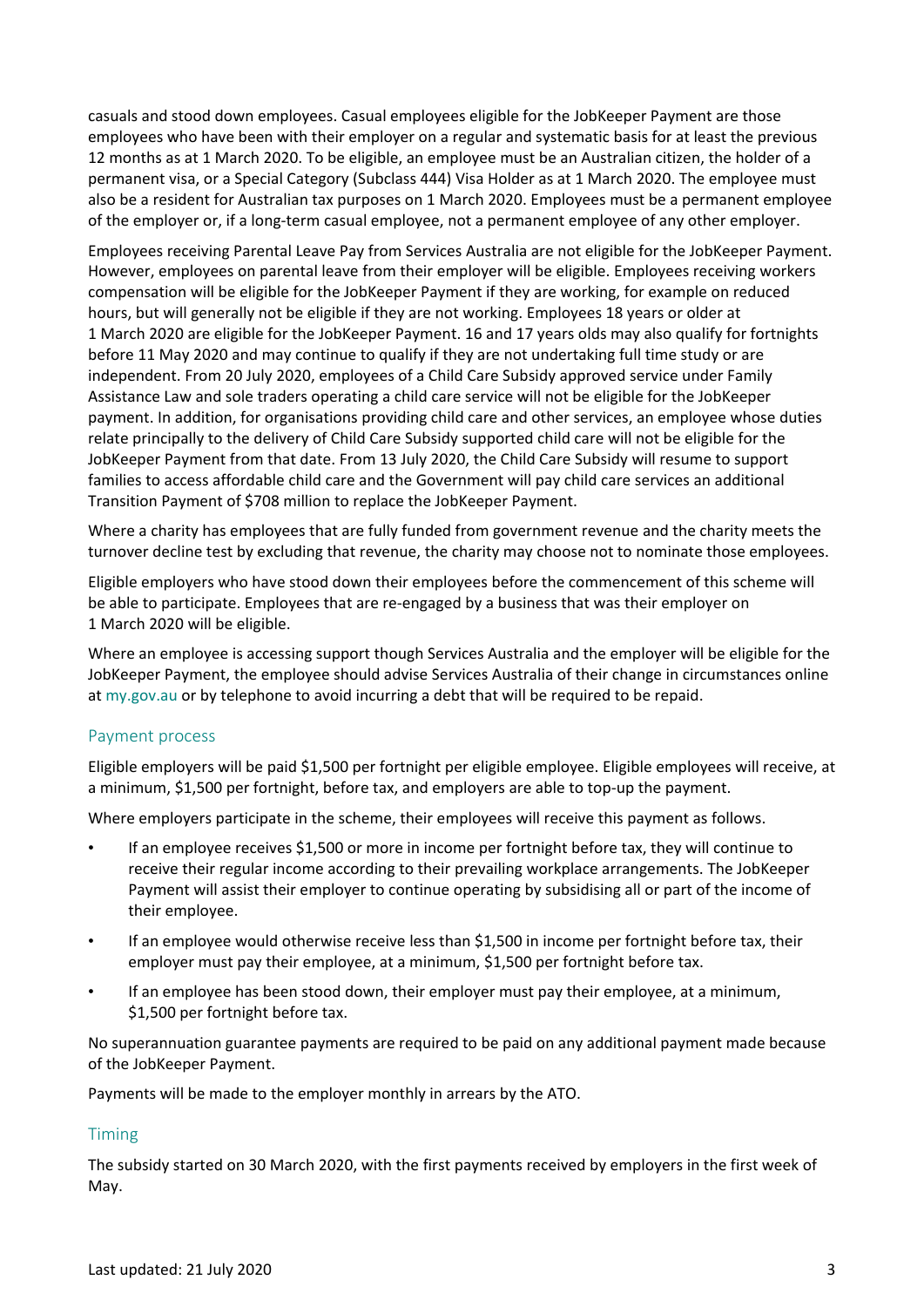casuals and stood down employees. Casual employees eligible for the JobKeeper Payment are those employees who have been with their employer on a regular and systematic basis for at least the previous 12 months as at 1 March 2020. To be eligible, an employee must be an Australian citizen, the holder of a permanent visa, or a Special Category (Subclass 444) Visa Holder as at 1 March 2020. The employee must also be a resident for Australian tax purposes on 1 March 2020. Employees must be a permanent employee of the employer or, if a long-term casual employee, not a permanent employee of any other employer.

Employees receiving Parental Leave Pay from Services Australia are not eligible for the JobKeeper Payment. However, employees on parental leave from their employer will be eligible. Employees receiving workers compensation will be eligible for the JobKeeper Payment if they are working, for example on reduced hours, but will generally not be eligible if they are not working. Employees 18 years or older at 1 March 2020 are eligible for the JobKeeper Payment. 16 and 17 years olds may also qualify for fortnights before 11 May 2020 and may continue to qualify if they are not undertaking full time study or are independent. From 20 July 2020, employees of a Child Care Subsidy approved service under Family Assistance Law and sole traders operating a child care service will not be eligible for the JobKeeper payment. In addition, for organisations providing child care and other services, an employee whose duties relate principally to the delivery of Child Care Subsidy supported child care will not be eligible for the JobKeeper Payment from that date. From 13 July 2020, the Child Care Subsidy will resume to support families to access affordable child care and the Government will pay child care services an additional Transition Payment of \$708 million to replace the JobKeeper Payment.

Where a charity has employees that are fully funded from government revenue and the charity meets the turnover decline test by excluding that revenue, the charity may choose not to nominate those employees.

Eligible employers who have stood down their employees before the commencement of this scheme will be able to participate. Employees that are re-engaged by a business that was their employer on 1 March 2020 will be eligible.

Where an employee is accessing support though Services Australia and the employer will be eligible for the JobKeeper Payment, the employee should advise Services Australia of their change in circumstances online at [my.gov.au](https://my.gov.au/LoginServices/main/login?execution=e1s1) or by telephone to avoid incurring a debt that will be required to be repaid.

## Payment process

Eligible employers will be paid \$1,500 per fortnight per eligible employee. Eligible employees will receive, at a minimum, \$1,500 per fortnight, before tax, and employers are able to top-up the payment.

Where employers participate in the scheme, their employees will receive this payment as follows.

- If an employee receives \$1,500 or more in income per fortnight before tax, they will continue to receive their regular income according to their prevailing workplace arrangements. The JobKeeper Payment will assist their employer to continue operating by subsidising all or part of the income of their employee.
- If an employee would otherwise receive less than \$1,500 in income per fortnight before tax, their employer must pay their employee, at a minimum, \$1,500 per fortnight before tax.
- If an employee has been stood down, their employer must pay their employee, at a minimum, \$1,500 per fortnight before tax.

No superannuation guarantee payments are required to be paid on any additional payment made because of the JobKeeper Payment.

Payments will be made to the employer monthly in arrears by the ATO.

## Timing

The subsidy started on 30 March 2020, with the first payments received by employers in the first week of May.